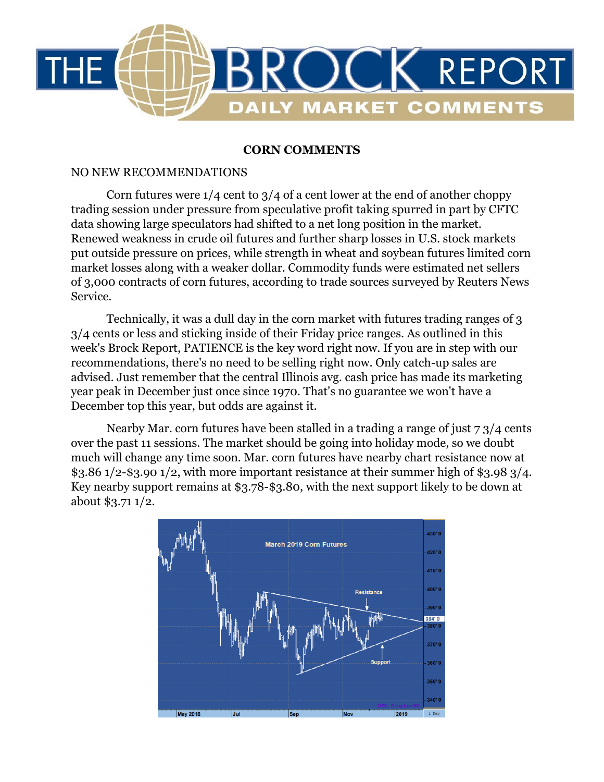

## **CORN COMMENTS**

## NO NEW RECOMMENDATIONS

Corn futures were  $1/4$  cent to  $3/4$  of a cent lower at the end of another choppy trading session under pressure from speculative profit taking spurred in part by CFTC data showing large speculators had shifted to a net long position in the market. Renewed weakness in crude oil futures and further sharp losses in U.S. stock markets put outside pressure on prices, while strength in wheat and soybean futures limited corn market losses along with a weaker dollar. Commodity funds were estimated net sellers of 3,000 contracts of corn futures, according to trade sources surveyed by Reuters News Service.

Technically, it was a dull day in the corn market with futures trading ranges of 3 3/4 cents or less and sticking inside of their Friday price ranges. As outlined in this week's Brock Report, PATIENCE is the key word right now. If you are in step with our recommendations, there's no need to be selling right now. Only catch-up sales are advised. Just remember that the central Illinois avg. cash price has made its marketing year peak in December just once since 1970. That's no guarantee we won't have a December top this year, but odds are against it.

Nearby Mar. corn futures have been stalled in a trading a range of just 7 3/4 cents over the past 11 sessions. The market should be going into holiday mode, so we doubt much will change any time soon. Mar. corn futures have nearby chart resistance now at \$3.86 1/2-\$3.90 1/2, with more important resistance at their summer high of \$3.98 3/4. Key nearby support remains at \$3.78-\$3.80, with the next support likely to be down at about \$3.71 1/2.

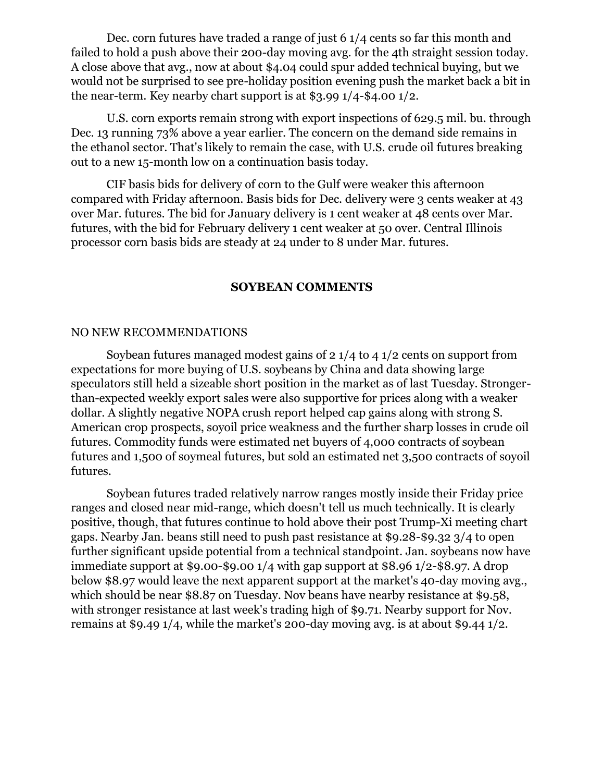Dec. corn futures have traded a range of just 6 1/4 cents so far this month and failed to hold a push above their 200-day moving avg. for the 4th straight session today. A close above that avg., now at about \$4.04 could spur added technical buying, but we would not be surprised to see pre-holiday position evening push the market back a bit in the near-term. Key nearby chart support is at \$3.99 1/4-\$4.00 1/2.

U.S. corn exports remain strong with export inspections of 629.5 mil. bu. through Dec. 13 running 73% above a year earlier. The concern on the demand side remains in the ethanol sector. That's likely to remain the case, with U.S. crude oil futures breaking out to a new 15-month low on a continuation basis today.

CIF basis bids for delivery of corn to the Gulf were weaker this afternoon compared with Friday afternoon. Basis bids for Dec. delivery were 3 cents weaker at 43 over Mar. futures. The bid for January delivery is 1 cent weaker at 48 cents over Mar. futures, with the bid for February delivery 1 cent weaker at 50 over. Central Illinois processor corn basis bids are steady at 24 under to 8 under Mar. futures.

### **SOYBEAN COMMENTS**

### NO NEW RECOMMENDATIONS

Soybean futures managed modest gains of 2 1/4 to 4 1/2 cents on support from expectations for more buying of U.S. soybeans by China and data showing large speculators still held a sizeable short position in the market as of last Tuesday. Strongerthan-expected weekly export sales were also supportive for prices along with a weaker dollar. A slightly negative NOPA crush report helped cap gains along with strong S. American crop prospects, soyoil price weakness and the further sharp losses in crude oil futures. Commodity funds were estimated net buyers of 4,000 contracts of soybean futures and 1,500 of soymeal futures, but sold an estimated net 3,500 contracts of soyoil futures.

Soybean futures traded relatively narrow ranges mostly inside their Friday price ranges and closed near mid-range, which doesn't tell us much technically. It is clearly positive, though, that futures continue to hold above their post Trump-Xi meeting chart gaps. Nearby Jan. beans still need to push past resistance at \$9.28-\$9.32 3/4 to open further significant upside potential from a technical standpoint. Jan. soybeans now have immediate support at \$9.00-\$9.00 1/4 with gap support at \$8.96 1/2-\$8.97. A drop below \$8.97 would leave the next apparent support at the market's 40-day moving avg., which should be near \$8.87 on Tuesday. Nov beans have nearby resistance at \$9.58, with stronger resistance at last week's trading high of \$9.71. Nearby support for Nov. remains at \$9.49 1/4, while the market's 200-day moving avg. is at about \$9.44 1/2.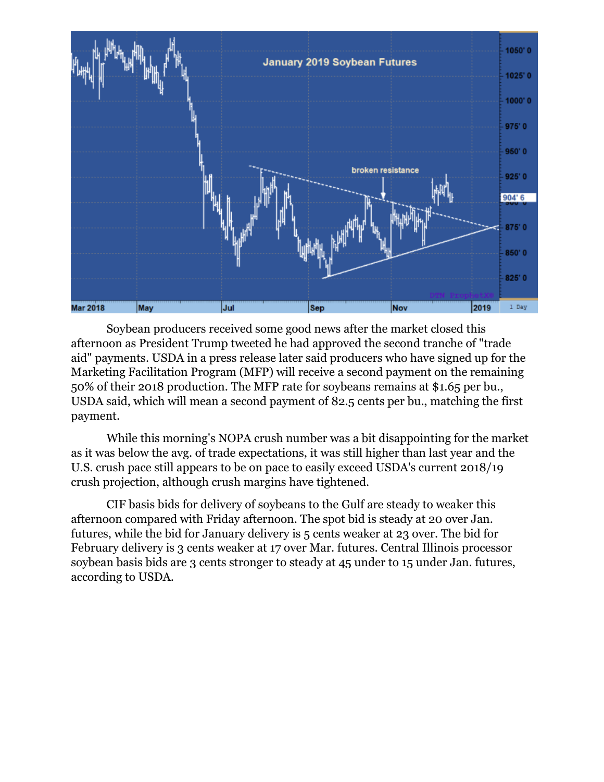

Soybean producers received some good news after the market closed this afternoon as President Trump tweeted he had approved the second tranche of "trade aid" payments. USDA in a press release later said producers who have signed up for the Marketing Facilitation Program (MFP) will receive a second payment on the remaining 50% of their 2018 production. The MFP rate for soybeans remains at \$1.65 per bu., USDA said, which will mean a second payment of 82.5 cents per bu., matching the first payment.

While this morning's NOPA crush number was a bit disappointing for the market as it was below the avg. of trade expectations, it was still higher than last year and the U.S. crush pace still appears to be on pace to easily exceed USDA's current 2018/19 crush projection, although crush margins have tightened.

CIF basis bids for delivery of soybeans to the Gulf are steady to weaker this afternoon compared with Friday afternoon. The spot bid is steady at 20 over Jan. futures, while the bid for January delivery is 5 cents weaker at 23 over. The bid for February delivery is 3 cents weaker at 17 over Mar. futures. Central Illinois processor soybean basis bids are 3 cents stronger to steady at 45 under to 15 under Jan. futures, according to USDA.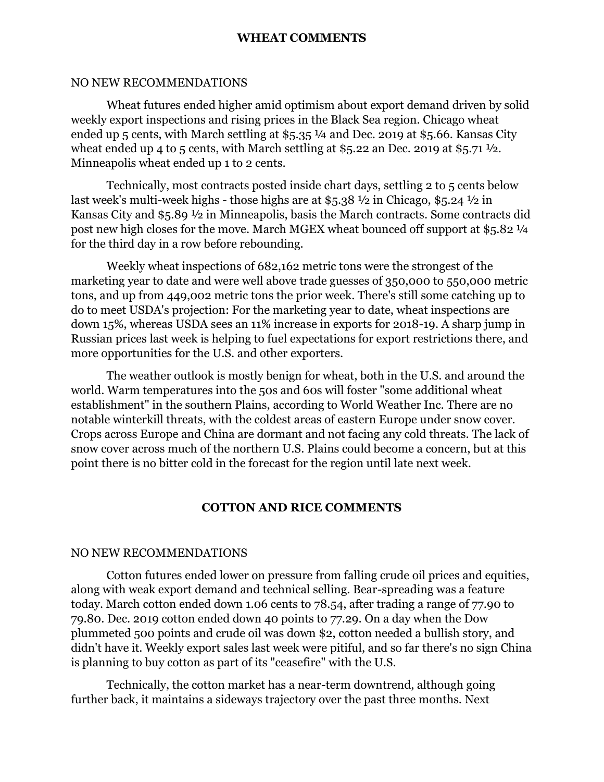### **WHEAT COMMENTS**

### NO NEW RECOMMENDATIONS

Wheat futures ended higher amid optimism about export demand driven by solid weekly export inspections and rising prices in the Black Sea region. Chicago wheat ended up 5 cents, with March settling at \$5.35 ¼ and Dec. 2019 at \$5.66. Kansas City wheat ended up 4 to 5 cents, with March settling at \$5.22 an Dec. 2019 at \$5.71  $\frac{1}{2}$ . Minneapolis wheat ended up 1 to 2 cents.

Technically, most contracts posted inside chart days, settling 2 to 5 cents below last week's multi-week highs - those highs are at \$5.38 ½ in Chicago, \$5.24 ½ in Kansas City and \$5.89 ½ in Minneapolis, basis the March contracts. Some contracts did post new high closes for the move. March MGEX wheat bounced off support at \$5.82 ¼ for the third day in a row before rebounding.

Weekly wheat inspections of 682,162 metric tons were the strongest of the marketing year to date and were well above trade guesses of 350,000 to 550,000 metric tons, and up from 449,002 metric tons the prior week. There's still some catching up to do to meet USDA's projection: For the marketing year to date, wheat inspections are down 15%, whereas USDA sees an 11% increase in exports for 2018-19. A sharp jump in Russian prices last week is helping to fuel expectations for export restrictions there, and more opportunities for the U.S. and other exporters.

The weather outlook is mostly benign for wheat, both in the U.S. and around the world. Warm temperatures into the 50s and 60s will foster "some additional wheat establishment" in the southern Plains, according to World Weather Inc. There are no notable winterkill threats, with the coldest areas of eastern Europe under snow cover. Crops across Europe and China are dormant and not facing any cold threats. The lack of snow cover across much of the northern U.S. Plains could become a concern, but at this point there is no bitter cold in the forecast for the region until late next week.

### **COTTON AND RICE COMMENTS**

#### NO NEW RECOMMENDATIONS

Cotton futures ended lower on pressure from falling crude oil prices and equities, along with weak export demand and technical selling. Bear-spreading was a feature today. March cotton ended down 1.06 cents to 78.54, after trading a range of 77.90 to 79.80. Dec. 2019 cotton ended down 40 points to 77.29. On a day when the Dow plummeted 500 points and crude oil was down \$2, cotton needed a bullish story, and didn't have it. Weekly export sales last week were pitiful, and so far there's no sign China is planning to buy cotton as part of its "ceasefire" with the U.S.

Technically, the cotton market has a near-term downtrend, although going further back, it maintains a sideways trajectory over the past three months. Next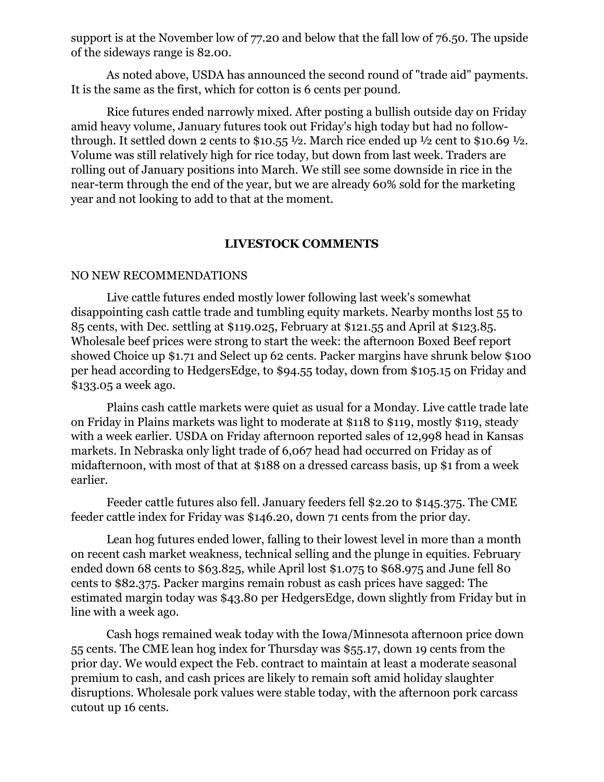support is at the November low of 77.20 and below that the fall low of 76.50. The upside of the sideways range is 82.00.

As noted above, USDA has announced the second round of "trade aid" payments. It is the same as the first, which for cotton is 6 cents per pound.

Rice futures ended narrowly mixed. After posting a bullish outside day on Friday amid heavy volume, January futures took out Friday's high today but had no followthrough. It settled down 2 cents to \$10.55  $\frac{1}{2}$ . March rice ended up  $\frac{1}{2}$  cent to \$10.69  $\frac{1}{2}$ . Volume was still relatively high for rice today, but down from last week. Traders are rolling out of January positions into March. We still see some downside in rice in the near-term through the end of the year, but we are already 60% sold for the marketing year and not looking to add to that at the moment.

## **LIVESTOCK COMMENTS**

### NO NEW RECOMMENDATIONS

Live cattle futures ended mostly lower following last week's somewhat disappointing cash cattle trade and tumbling equity markets. Nearby months lost 55 to 85 cents, with Dec. settling at \$119.025, February at \$121.55 and April at \$123.85. Wholesale beef prices were strong to start the week: the afternoon Boxed Beef report showed Choice up \$1.71 and Select up 62 cents. Packer margins have shrunk below \$100 per head according to HedgersEdge, to \$94.55 today, down from \$105.15 on Friday and \$133.05 a week ago.

Plains cash cattle markets were quiet as usual for a Monday. Live cattle trade late on Friday in Plains markets was light to moderate at \$118 to \$119, mostly \$119, steady with a week earlier. USDA on Friday afternoon reported sales of 12,998 head in Kansas markets. In Nebraska only light trade of 6,067 head had occurred on Friday as of midafternoon, with most of that at \$188 on a dressed carcass basis, up \$1 from a week earlier.

Feeder cattle futures also fell. January feeders fell \$2.20 to \$145.375. The CME feeder cattle index for Friday was \$146.20, down 71 cents from the prior day.

Lean hog futures ended lower, falling to their lowest level in more than a month on recent cash market weakness, technical selling and the plunge in equities. February ended down 68 cents to \$63.825, while April lost \$1.075 to \$68.975 and June fell 80 cents to \$82.375. Packer margins remain robust as cash prices have sagged: The estimated margin today was \$43.80 per HedgersEdge, down slightly from Friday but in line with a week ago.

Cash hogs remained weak today with the Iowa/Minnesota afternoon price down 55 cents. The CME lean hog index for Thursday was \$55.17, down 19 cents from the prior day. We would expect the Feb. contract to maintain at least a moderate seasonal premium to cash, and cash prices are likely to remain soft amid holiday slaughter disruptions. Wholesale pork values were stable today, with the afternoon pork carcass cutout up 16 cents.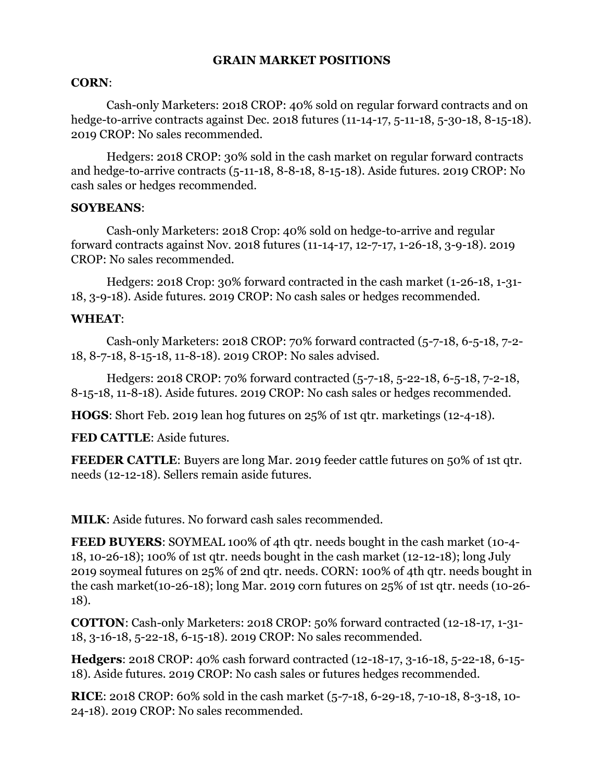## **GRAIN MARKET POSITIONS**

## **CORN**:

Cash-only Marketers: 2018 CROP: 40% sold on regular forward contracts and on hedge-to-arrive contracts against Dec. 2018 futures (11-14-17, 5-11-18, 5-30-18, 8-15-18). 2019 CROP: No sales recommended.

Hedgers: 2018 CROP: 30% sold in the cash market on regular forward contracts and hedge-to-arrive contracts (5-11-18, 8-8-18, 8-15-18). Aside futures. 2019 CROP: No cash sales or hedges recommended.

## **SOYBEANS**:

Cash-only Marketers: 2018 Crop: 40% sold on hedge-to-arrive and regular forward contracts against Nov. 2018 futures (11-14-17, 12-7-17, 1-26-18, 3-9-18). 2019 CROP: No sales recommended.

Hedgers: 2018 Crop: 30% forward contracted in the cash market (1-26-18, 1-31- 18, 3-9-18). Aside futures. 2019 CROP: No cash sales or hedges recommended.

# **WHEAT**:

Cash-only Marketers: 2018 CROP: 70% forward contracted (5-7-18, 6-5-18, 7-2- 18, 8-7-18, 8-15-18, 11-8-18). 2019 CROP: No sales advised.

Hedgers: 2018 CROP: 70% forward contracted (5-7-18, 5-22-18, 6-5-18, 7-2-18, 8-15-18, 11-8-18). Aside futures. 2019 CROP: No cash sales or hedges recommended.

**HOGS**: Short Feb. 2019 lean hog futures on 25% of 1st qtr. marketings (12-4-18).

**FED CATTLE**: Aside futures.

**FEEDER CATTLE:** Buyers are long Mar. 2019 feeder cattle futures on 50% of 1st qtr. needs (12-12-18). Sellers remain aside futures.

**MILK**: Aside futures. No forward cash sales recommended.

**FEED BUYERS**: SOYMEAL 100% of 4th qtr. needs bought in the cash market (10-4- 18, 10-26-18); 100% of 1st qtr. needs bought in the cash market (12-12-18); long July 2019 soymeal futures on 25% of 2nd qtr. needs. CORN: 100% of 4th qtr. needs bought in the cash market(10-26-18); long Mar. 2019 corn futures on 25% of 1st qtr. needs (10-26- 18).

**COTTON**: Cash-only Marketers: 2018 CROP: 50% forward contracted (12-18-17, 1-31- 18, 3-16-18, 5-22-18, 6-15-18). 2019 CROP: No sales recommended.

**Hedgers**: 2018 CROP: 40% cash forward contracted (12-18-17, 3-16-18, 5-22-18, 6-15- 18). Aside futures. 2019 CROP: No cash sales or futures hedges recommended.

**RICE**: 2018 CROP: 60% sold in the cash market (5-7-18, 6-29-18, 7-10-18, 8-3-18, 10- 24-18). 2019 CROP: No sales recommended.